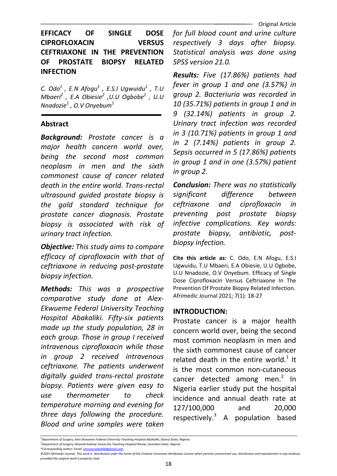# EFFICACY OF SINGLE DOSE CIPROFLOXACIN VERSUS CEFTRIAXONE IN THE PREVENTION OF PROSTATE BIOPSY RELATED INFECTION

C. Odo $^1$  , E.N Afogu $^1$  , E.S.I Ugwuidu $^1$  , T.U Mbaeri $^2$  , E.A Obiesie $^2$  ,U.U Ogbobe $^1$  , U.U Nnadozi $e^1$  , O.V Onyebum $^1$ 

### Abstract

Background: Prostate cancer is a major health concern world over, being the second most common neoplasm in men and the sixth commonest cause of cancer related death in the entire world. Trans-rectal ultrasound guided prostate biopsy is the gold standard technique for prostate cancer diagnosis. Prostate biopsy is associated with risk of urinary tract infection.

**Objective:** This study aims to compare efficacy of ciprofloxacin with that of ceftriaxone in reducing post-prostate biopsy infection.

Methods: This was a prospective comparative study done at Alex-Ekwueme Federal University Teaching Hospital Abakaliki. Fifty-six patients made up the study population, 28 in each group. Those in group I received intravenous ciprofloxacin while those in group 2 received intravenous ceftriaxone. The patients underwent digitally guided trans-rectal prostate biopsy. Patients were given easy to use thermometer to check temperature morning and evening for three days following the procedure. Blood and urine samples were taken

for full blood count and urine culture respectively 3 days after biopsy. Statistical analysis was done using SPSS version 21.0.

Results: Five (17.86%) patients had fever in group 1 and one (3.57%) in group 2. Bacteriuria was recorded in 10 (35.71%) patients in group 1 and in 9 (32.14%) patients in group 2. Urinary tract infection was recorded in 3 (10.71%) patients in group 1 and in 2 (7.14%) patients in group 2. Sepsis occurred in 5 (17.86%) patients in group 1 and in one (3.57%) patient in group 2.

Conclusion: There was no statistically significant difference between ceftriaxone and ciprofloxacin in preventing post prostate biopsy infective complications. Key words: prostate biopsy, antibiotic, postbiopsy infection.

Cite this article as: C. Odo, E.N Afogu, E.S.I Ugwuidu, T.U Mbaeri, E.A Obiesie, U.U Ogbobe, U.U Nnadozie, O.V Onyebum. Efficacy of Single Dose Ciprofloxacin Versus Ceftriaxone In The Prevention Of Prostate Biopsy Related Infection. Afrimedic Journal 2021; 7(1): 18-27

### INTRODUCTION:

Prostate cancer is a major health concern world over, being the second most common neoplasm in men and the sixth commonest cause of cancer related death in the entire world. $1$  It is the most common non-cutaneous cancer detected among men.<sup>2</sup> In Nigeria earlier study put the hospital incidence and annual death rate at 127/100,000 and 20,000 respectively.<sup>3</sup> A population based

\*Corresponding author: Email: chinonsoodo940@gmail.com

<sup>&</sup>lt;sup>1</sup>Department of Surgery, Alex-Ekwueme Federal University Teaching Hospital Abakaliki, Ebonyi State, Nigeria.

<sup>&</sup>lt;sup>2</sup> Department of Surgery, Nnamdi Azikiwe University Teaching Hospital Nnewi, Anambra State, Nigeria

<sup>©2021</sup> Afrimedic Journal. This work is distributed under the terms of the Creative Commons Attribution License which permits unrestricted use, distribution and reproduction in any medium, provided the original work is properly cited.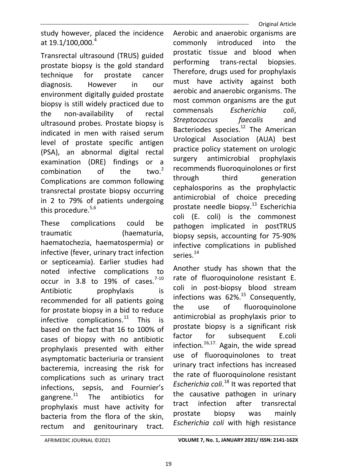Original Article

study however, placed the incidence at 19.1/100,000. $^{4}$ 

Transrectal ultrasound (TRUS) guided prostate biopsy is the gold standard technique for prostate cancer diagnosis. However in our environment digitally guided prostate biopsy is still widely practiced due to the non-availability of rectal ultrasound probes. Prostate biopsy is indicated in men with raised serum level of prostate specific antigen (PSA), an abnormal digital rectal examination (DRE) findings or a<br>combination of the two.<sup>2</sup> combination of the Complications are common following transrectal prostate biopsy occurring in 2 to 79% of patients undergoing this procedure.<sup>5,6</sup>

These complications could be traumatic (haematuria, haematochezia, haematospermia) or infective (fever, urinary tract infection or septiceamia). Earlier studies had noted infective complications to occur in 3.8 to 19% of cases. $7-10$ Antibiotic prophylaxis is recommended for all patients going for prostate biopsy in a bid to reduce infective complications. $11$  This is based on the fact that 16 to 100% of cases of biopsy with no antibiotic prophylaxis presented with either asymptomatic bacteriuria or transient bacteremia, increasing the risk for complications such as urinary tract infections, sepsis, and Fournier's gangrene. $^{11}$  The antibiotics for prophylaxis must have activity for bacteria from the flora of the skin, rectum and genitourinary tract.

Aerobic and anaerobic organisms are commonly introduced into the prostatic tissue and blood when performing trans-rectal biopsies. Therefore, drugs used for prophylaxis must have activity against both aerobic and anaerobic organisms. The most common organisms are the gut commensals Escherichia coli, Streptococcus faecalis and Bacteriodes species. $12$  The American Urological Association (AUA) best practice policy statement on urologic surgery antimicrobial prophylaxis recommends fluoroquinolones or first through third generation cephalosporins as the prophylactic antimicrobial of choice preceding prostate needle biopsy.<sup>13</sup> Escherichia coli (E. coli) is the commonest pathogen implicated in postTRUS biopsy sepsis, accounting for 75-90% infective complications in published series.<sup>14</sup>

Another study has shown that the rate of fluoroquinolone resistant E. coli in post-biopsy blood stream infections was  $62\%$ .<sup>15</sup> Consequently, the use of fluoroquinolone antimicrobial as prophylaxis prior to prostate biopsy is a significant risk factor for subsequent E.coli infection. $16,17$ . Again, the wide spread use of fluoroquinolones to treat urinary tract infections has increased the rate of fluoroquinolone resistant Escherichia coli.<sup>18</sup> It was reported that the causative pathogen in urinary tract infection after transrectal prostate biopsy was mainly Escherichia coli with high resistance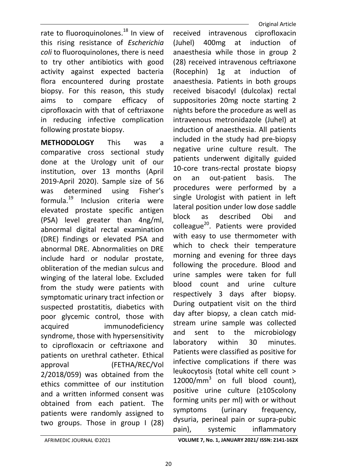rate to fluoroquinolones.<sup>18</sup> In view of this rising resistance of Escherichia coli to fluoroquinolones, there is need to try other antibiotics with good activity against expected bacteria flora encountered during prostate biopsy. For this reason, this study aims to compare efficacy of ciprofloxacin with that of ceftriaxone in reducing infective complication following prostate biopsy.

METHODOLOGY This was a comparative cross sectional study done at the Urology unit of our institution, over 13 months (April 2019-April 2020). Sample size of 56 was determined using Fisher's formula.<sup>19</sup> Inclusion criteria were elevated prostate specific antigen (PSA) level greater than 4ng/ml, abnormal digital rectal examination (DRE) findings or elevated PSA and abnormal DRE. Abnormalities on DRE include hard or nodular prostate, obliteration of the median sulcus and winging of the lateral lobe. Excluded from the study were patients with symptomatic urinary tract infection or suspected prostatitis, diabetics with poor glycemic control, those with acquired immunodeficiency syndrome, those with hypersensitivity to ciprofloxacin or ceftriaxone and patients on urethral catheter. Ethical approval (FETHA/REC/Vol 2/2018/059) was obtained from the ethics committee of our institution and a written informed consent was obtained from each patient. The patients were randomly assigned to two groups. Those in group I (28)

 Original Article received intravenous ciprofloxacin (Juhel) 400mg at induction of anaesthesia while those in group 2 (28) received intravenous ceftriaxone (Rocephin) 1g at induction of anaesthesia. Patients in both groups received bisacodyl (dulcolax) rectal suppositories 20mg nocte starting 2 nights before the procedure as well as intravenous metronidazole (Juhel) at induction of anaesthesia. All patients included in the study had pre-biopsy negative urine culture result. The patients underwent digitally guided 10-core trans-rectal prostate biopsy on an out-patient basis. The procedures were performed by a single Urologist with patient in left lateral position under low dose saddle block as described Obi and colleague<sup>20</sup>. Patients were provided with easy to use thermometer with which to check their temperature morning and evening for three days following the procedure. Blood and urine samples were taken for full blood count and urine culture respectively 3 days after biopsy. During outpatient visit on the third day after biopsy, a clean catch midstream urine sample was collected and sent to the microbiology laboratory within 30 minutes. Patients were classified as positive for infective complications if there was leukocytosis (total white cell count >  $12000/mm<sup>3</sup>$  on full blood count), positive urine culture (≥105colony forming units per ml) with or without symptoms (urinary frequency, dysuria, perineal pain or supra-pubic pain), systemic inflammatory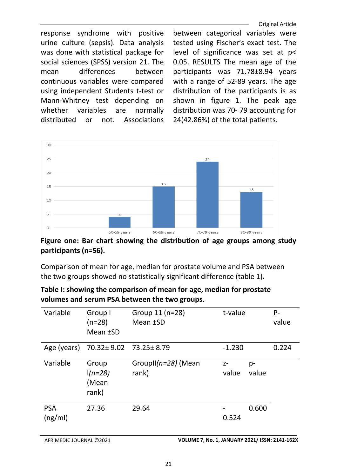Original Article

response syndrome with positive urine culture (sepsis). Data analysis was done with statistical package for social sciences (SPSS) version 21. The mean differences between continuous variables were compared using independent Students t-test or Mann-Whitney test depending on whether variables are normally distributed or not. Associations between categorical variables were tested using Fischer's exact test. The level of significance was set at p< 0.05. RESULTS The mean age of the participants was 71.78±8.94 years with a range of 52-89 years. The age distribution of the participants is as shown in figure 1. The peak age distribution was 70- 79 accounting for 24(42.86%) of the total patients.



Figure one: Bar chart showing the distribution of age groups among study participants (n=56).

Comparison of mean for age, median for prostate volume and PSA between the two groups showed no statistically significant difference (table 1).

| VOIDINGS AND SEIDINGS DELWEEN THE LWO GIOUDS. |                                        |                                        |               |             |             |  |  |
|-----------------------------------------------|----------------------------------------|----------------------------------------|---------------|-------------|-------------|--|--|
| Variable                                      | Group I<br>$(n=28)$<br>Mean <b>±SD</b> | Group 11 (n=28)<br>t-value<br>Mean ±SD |               |             | P-<br>value |  |  |
| Age (years)                                   | 70.32± 9.02 73.25± 8.79                |                                        | $-1.230$      |             | 0.224       |  |  |
| Variable                                      | Group<br>$1(n=28)$<br>(Mean<br>rank)   | GroupII(n=28) (Mean<br>rank)           | $Z-$<br>value | p-<br>value |             |  |  |
| <b>PSA</b><br>(ng/ml)                         | 27.36                                  | 29.64                                  | 0.524         | 0.600       |             |  |  |

Table I: showing the comparison of mean for age, median for prostate volumes and serum PSA between the two groups.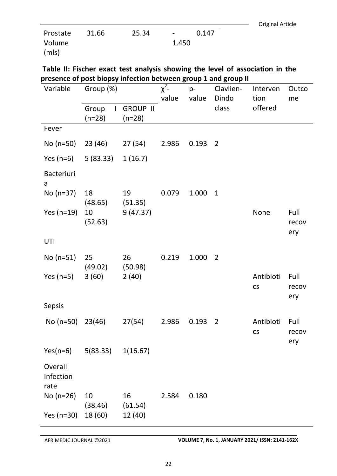| Original Article |
|------------------|

| Prostate | 31.66 | 25.34 | $\sim$ | 0.147 |
|----------|-------|-------|--------|-------|
| Volume   |       |       | 1.450  |       |
| (mls)    |       |       |        |       |

Table II: Fischer exact test analysis showing the level of association in the presence of post biopsy infection between group 1 and group II

| Variable                     | Group (%)                         |                             | o<br>$\chi^2$ -<br>value | p-<br>value | ----- <b>0</b><br>Clavlien-<br>Dindo | Interven<br>tion       | Outco<br>me          |
|------------------------------|-----------------------------------|-----------------------------|--------------------------|-------------|--------------------------------------|------------------------|----------------------|
|                              | Group<br>$\mathbf{L}$<br>$(n=28)$ | <b>GROUP II</b><br>$(n=28)$ |                          |             | class                                | offered                |                      |
| Fever                        |                                   |                             |                          |             |                                      |                        |                      |
| No (n=50)                    | 23 (46)                           | 27(54)                      | 2.986                    | 0.193       | 2                                    |                        |                      |
| Yes (n=6)                    | 5(83.33) 1(16.7)                  |                             |                          |             |                                      |                        |                      |
| <b>Bacteriuri</b><br>a       |                                   |                             |                          |             |                                      |                        |                      |
| $No (n=37)$                  | 18<br>$(48.65)$ $(51.35)$         | 19                          | 0.079                    | 1.000       | $\mathbf{1}$                         |                        |                      |
| Yes $(n=19)$                 | 10<br>(52.63)                     | 9(47.37)                    |                          |             |                                      | None                   | Full<br>recov<br>ery |
| UTI                          |                                   |                             |                          |             |                                      |                        |                      |
| No (n=51)                    | 25<br>$(49.02)$ $(50.98)$         | 26                          | 0.219                    | 1.000       | $\overline{2}$                       |                        |                      |
| Yes (n=5)                    | 3(60)                             | 2(40)                       |                          |             |                                      | Antibioti<br><b>CS</b> | Full<br>recov<br>ery |
| Sepsis                       |                                   |                             |                          |             |                                      |                        |                      |
| No (n=50)                    | 23(46)                            | 27(54)                      | 2.986                    | 0.193       | $\overline{2}$                       | Antibioti<br>CS        | Full<br>recov<br>ery |
| $Yes(n=6)$                   | 5(83.33)                          | 1(16.67)                    |                          |             |                                      |                        |                      |
| Overall<br>Infection<br>rate |                                   |                             |                          |             |                                      |                        |                      |
| No $(n=26)$                  | 10<br>(38.46)                     | 16<br>(61.54)               | 2.584                    | 0.180       |                                      |                        |                      |
| Yes (n=30)                   | 18 (60)                           | 12 (40)                     |                          |             |                                      |                        |                      |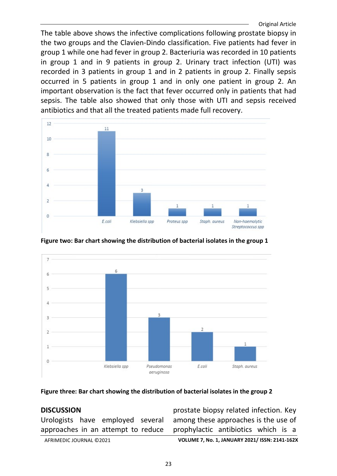The table above shows the infective complications following prostate biopsy in the two groups and the Clavien-Dindo classification. Five patients had fever in group 1 while one had fever in group 2. Bacteriuria was recorded in 10 patients in group 1 and in 9 patients in group 2. Urinary tract infection (UTI) was recorded in 3 patients in group 1 and in 2 patients in group 2. Finally sepsis occurred in 5 patients in group 1 and in only one patient in group 2. An important observation is the fact that fever occurred only in patients that had sepsis. The table also showed that only those with UTI and sepsis received antibiotics and that all the treated patients made full recovery.



Figure two: Bar chart showing the distribution of bacterial isolates in the group 1



#### Figure three: Bar chart showing the distribution of bacterial isolates in the group 2

### **DISCUSSION**

Urologists have employed several approaches in an attempt to reduce

prostate biopsy related infection. Key among these approaches is the use of prophylactic antibiotics which is a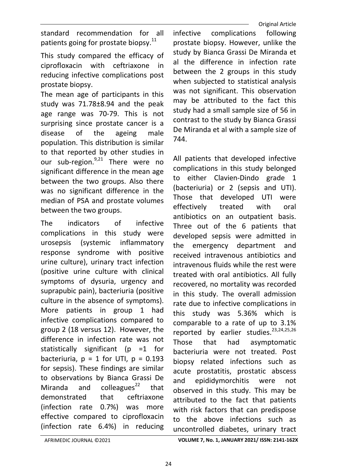standard recommendation for all patients going for prostate biopsy.<sup>11</sup>

This study compared the efficacy of ciprofloxacin with ceftriaxone in reducing infective complications post prostate biopsy.

The mean age of participants in this study was 71.78±8.94 and the peak age range was 70-79. This is not surprising since prostate cancer is a disease of the ageing male population. This distribution is similar to that reported by other studies in our sub-region. $9,21$  There were no significant difference in the mean age between the two groups. Also there was no significant difference in the median of PSA and prostate volumes between the two groups.

The indicators of infective complications in this study were urosepsis (systemic inflammatory response syndrome with positive urine culture), urinary tract infection (positive urine culture with clinical symptoms of dysuria, urgency and suprapubic pain), bacteriuria (positive culture in the absence of symptoms). More patients in group 1 had infective complications compared to group 2 (18 versus 12). However, the difference in infection rate was not statistically significant (p =1 for bacteriuria,  $p = 1$  for UTI,  $p = 0.193$ for sepsis). These findings are similar to observations by Bianca Grassi De Miranda and colleagues $^{22}$  that demonstrated that ceftriaxone (infection rate 0.7%) was more effective compared to ciprofloxacin (infection rate 6.4%) in reducing

infective complications following prostate biopsy. However, unlike the study by Bianca Grassi De Miranda et al the difference in infection rate between the 2 groups in this study when subjected to statistical analysis was not significant. This observation may be attributed to the fact this study had a small sample size of 56 in contrast to the study by Bianca Grassi De Miranda et al with a sample size of 744.

All patients that developed infective complications in this study belonged to either Clavien-Dindo grade 1 (bacteriuria) or 2 (sepsis and UTI). Those that developed UTI were effectively treated with oral antibiotics on an outpatient basis. Three out of the 6 patients that developed sepsis were admitted in the emergency department and received intravenous antibiotics and intravenous fluids while the rest were treated with oral antibiotics. All fully recovered, no mortality was recorded in this study. The overall admission rate due to infective complications in this study was 5.36% which is comparable to a rate of up to 3.1% reported by earlier studies. $23,24,25,26$ Those that had asymptomatic bacteriuria were not treated. Post biopsy related infections such as acute prostatitis, prostatic abscess and epididymorchitis were not observed in this study. This may be attributed to the fact that patients with risk factors that can predispose to the above infections such as uncontrolled diabetes, urinary tract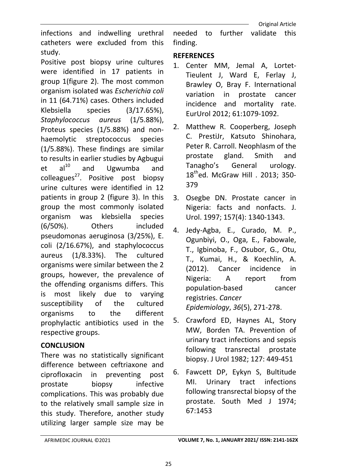infections and indwelling urethral catheters were excluded from this study.

Positive post biopsy urine cultures were identified in 17 patients in group 1(figure 2). The most common organism isolated was Escherichia coli in 11 (64.71%) cases. Others included Klebsiella species (3/17.65%), Staphylococcus aureus (1/5.88%), Proteus species (1/5.88%) and nonhaemolytic streptococcus species (1/5.88%). These findings are similar to results in earlier studies by Agbugui  $et$  al<sup>10</sup> and Ugwumba and colleagues<sup>27</sup>. Positive post biopsy urine cultures were identified in 12 patients in group 2 (figure 3). In this group the most commonly isolated organism was klebsiella species (6/50%). Others included pseudomonas aeruginosa (3/25%), E. coli (2/16.67%), and staphylococcus aureus (1/8.33%). The cultured organisms were similar between the 2 groups, however, the prevalence of the offending organisms differs. This is most likely due to varying susceptibility of the cultured organisms to the different prophylactic antibiotics used in the respective groups.

## **CONCLUSION**

There was no statistically significant difference between ceftriaxone and ciprofloxacin in preventing post prostate biopsy infective complications. This was probably due to the relatively small sample size in this study. Therefore, another study utilizing larger sample size may be

needed to further validate this finding.

## **REFERENCES**

- 1. Center MM, Jemal A, Lortet-Tieulent J, Ward E, Ferlay J, Brawley O, Bray F. International variation in prostate cancer incidence and mortality rate. EurUrol 2012; 61:1079-1092.
- 2. Matthew R. Cooperberg, Joseph C. PrestiJr, Katsuto Shinohara, Peter R. Carroll. Neophlasm of the prostate gland. Smith and Tanagho's General urology. 18<sup>th</sup>ed. McGraw Hill . 2013; 350-379
- 3. Osegbe DN. Prostate cancer in Nigeria: facts and nonfacts. J. Urol. 1997; 157(4): 1340-1343.
- 4. Jedy-Agba, E., Curado, M. P., Ogunbiyi, O., Oga, E., Fabowale, T., Igbinoba, F., Osubor, G., Otu, T., Kumai, H., & Koechlin, A. (2012). Cancer incidence in Nigeria: A report from population-based cancer registries. Cancer Epidemiology, 36(5), 271-278.
- 5. Crawford ED, Haynes AL, Story MW, Borden TA. Prevention of urinary tract infections and sepsis following transrectal prostate biopsy. J Urol 1982; 127: 449-451
- 6. Fawcett DP, Eykyn S, Bultitude MI. Urinary tract infections following transrectal biopsy of the prostate. South Med J 1974; 67:1453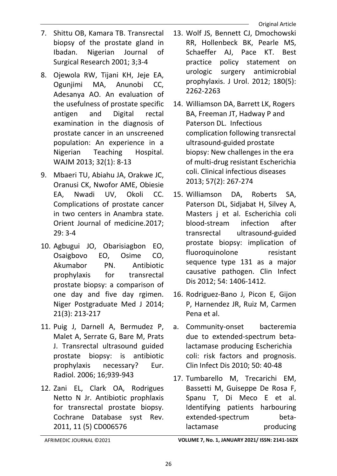- 7. Shittu OB, Kamara TB. Transrectal biopsy of the prostate gland in Ibadan. Nigerian Journal of Surgical Research 2001; 3;3-4
- 8. Ojewola RW, Tijani KH, Jeje EA, Ogunjimi MA, Anunobi CC, Adesanya AO. An evaluation of the usefulness of prostate specific antigen and Digital rectal examination in the diagnosis of prostate cancer in an unscreened population: An experience in a Nigerian Teaching Hospital. WAJM 2013; 32(1): 8-13
- 9. Mbaeri TU, Abiahu JA, Orakwe JC, Oranusi CK, Nwofor AME, Obiesie EA, Nwadi UV, Okoli CC. Complications of prostate cancer in two centers in Anambra state. Orient Journal of medicine.2017; 29: 3-4
- 10. Agbugui JO, Obarisiagbon EO, Osaigbovo EO, Osime CO, Akumabor PN. Antibiotic prophylaxis for transrectal prostate biopsy: a comparison of one day and five day rgimen. Niger Postgraduate Med J 2014; 21(3): 213-217
- 11. Puig J, Darnell A, Bermudez P, Malet A, Serrate G, Bare M, Prats J. Transrectal ultrasound guided prostate biopsy: is antibiotic prophylaxis necessary? Eur. Radiol. 2006; 16;939-943
- 12. Zani EL, Clark OA, Rodrigues Netto N Jr. Antibiotic prophlaxis for transrectal prostate biopsy. Cochrane Database syst Rev. 2011, 11 (5) CD006576
- 13. Wolf JS, Bennett CJ, Dmochowski RR, Hollenbeck BK, Pearle MS, Schaeffer AJ, Pace KT. Best practice policy statement on urologic surgery antimicrobial prophylaxis. J Urol. 2012; 180(5): 2262-2263
- 14. Williamson DA, Barrett LK, Rogers BA, Freeman JT, Hadway P and Paterson DL. Infectious complication following transrectal ultrasound-guided prostate biopsy: New challenges in the era of multi-drug resistant Escherichia coli. Clinical infectious diseases 2013; 57(2): 267-274
- 15. Williamson DA, Roberts SA, Paterson DL, Sidjabat H, Silvey A, Masters j et al. Escherichia coli blood-stream infection after transrectal ultrasound-guided prostate biopsy: implication of fluoroquinolone resistant sequence type 131 as a major causative pathogen. Clin Infect Dis 2012; 54: 1406-1412.
- 16. Rodriguez-Bano J, Picon E, Gijon P, Harnendez JR, Ruiz M, Carmen Pena et al.
- a. Community-onset bacteremia due to extended-spectrum betalactamase producing Escherichia coli: risk factors and prognosis. Clin Infect Dis 2010; 50: 40-48
- 17. Tumbarello M, Trecarichi EM, Bassetti M, Guiseppe De Rosa F, Spanu T, Di Meco E et al. Identifying patients harbouring extended-spectrum betalactamase producing